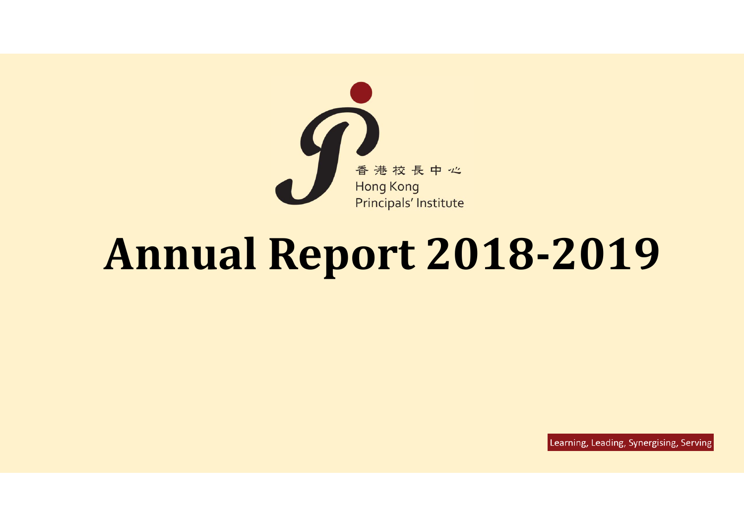

# **Annual Report 2018‐2019**

Learning, Leading, Synergising, Serving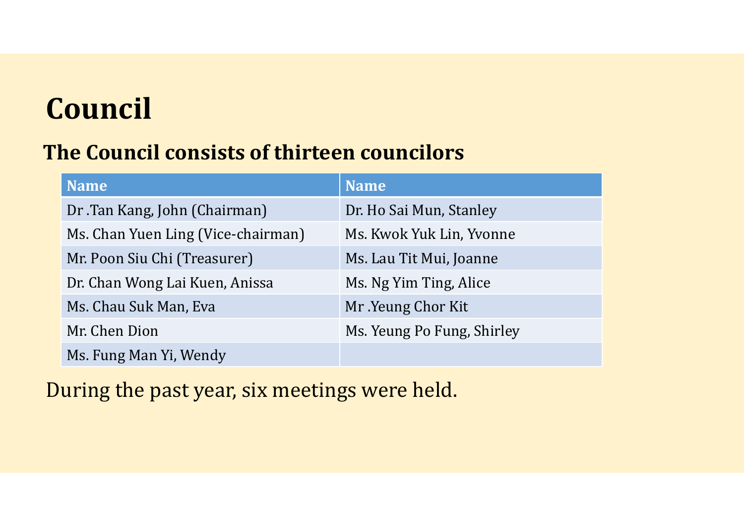# **Council**

#### **The Council consists of thirteen councilors**

| <b>Name</b>                        | <b>Name</b>                |
|------------------------------------|----------------------------|
| Dr. Tan Kang, John (Chairman)      | Dr. Ho Sai Mun, Stanley    |
| Ms. Chan Yuen Ling (Vice-chairman) | Ms. Kwok Yuk Lin, Yvonne   |
| Mr. Poon Siu Chi (Treasurer)       | Ms. Lau Tit Mui, Joanne    |
| Dr. Chan Wong Lai Kuen, Anissa     | Ms. Ng Yim Ting, Alice     |
| Ms. Chau Suk Man, Eva              | Mr. Yeung Chor Kit         |
| Mr. Chen Dion                      | Ms. Yeung Po Fung, Shirley |
| Ms. Fung Man Yi, Wendy             |                            |

During the past year, six meetings were held.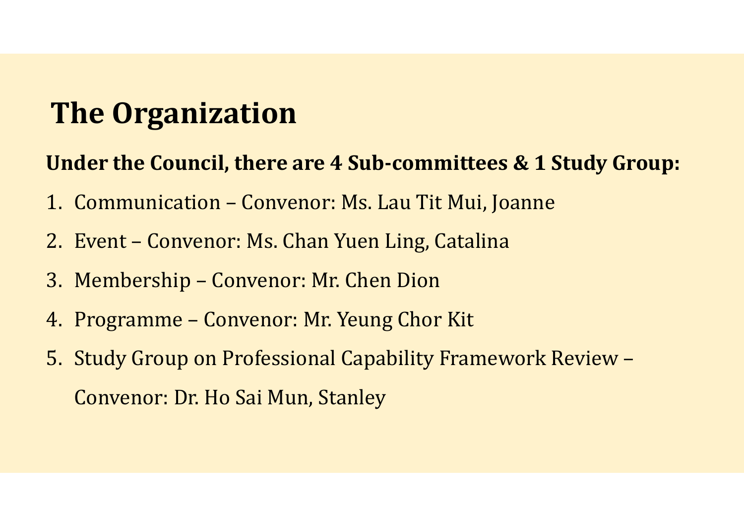### **The Organization**

#### **Under the Council, there are 4 Sub‐committees & 1 Study Group:**

- 1. Communication Convenor: Ms. Lau Tit Mui, Joanne
- 2. Event Convenor: Ms. Chan Yuen Ling, Catalina
- 3. Membership Convenor: Mr. Chen Dion
- 4. Programme Convenor: Mr. Yeung Chor Kit
- 5. Study Group on Professional Capability Framework Review Convenor: Dr. Ho Sai Mun, Stanley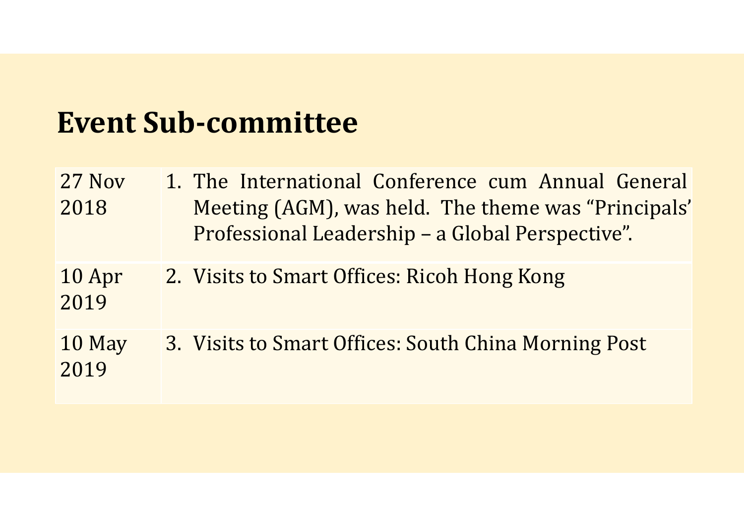### **Event Sub‐committee**

| 27 Nov<br>2018 | 1. The International Conference cum Annual General<br>Meeting (AGM), was held. The theme was "Principals"<br>Professional Leadership - a Global Perspective". |
|----------------|---------------------------------------------------------------------------------------------------------------------------------------------------------------|
| 10 Apr<br>2019 | 2. Visits to Smart Offices: Ricoh Hong Kong                                                                                                                   |
| 10 May<br>2019 | 3. Visits to Smart Offices: South China Morning Post                                                                                                          |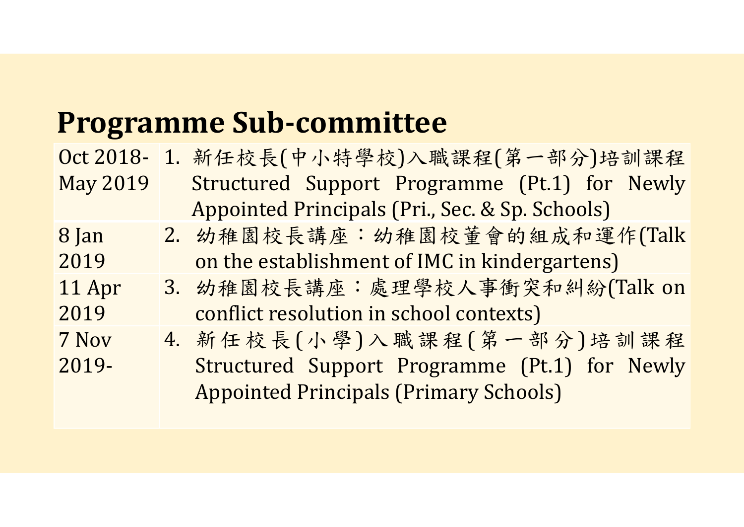## **Programme Sub‐committee**

|                 | Oct 2018- 1. 新任校長(中小特學校)入職課程(第一部分)培訓課程          |
|-----------------|-------------------------------------------------|
| <b>May 2019</b> | Structured Support Programme (Pt.1) for Newly   |
|                 | Appointed Principals (Pri., Sec. & Sp. Schools) |
| 8 Jan           | 2. 幼稚園校長講座:幼稚園校董會的組成和運作(Talk                    |
| 2019            | on the establishment of IMC in kindergartens)   |
| 11 Apr          | 3. 幼稚園校長講座:處理學校人事衝突和糾紛(Talk on                  |
| 2019            | conflict resolution in school contexts)         |
| 7 Nov           | 4. 新任校長(小學)入職課程(第一部分)培訓課程                       |
| 2019-           | Structured Support Programme (Pt.1) for Newly   |
|                 | <b>Appointed Principals (Primary Schools)</b>   |
|                 |                                                 |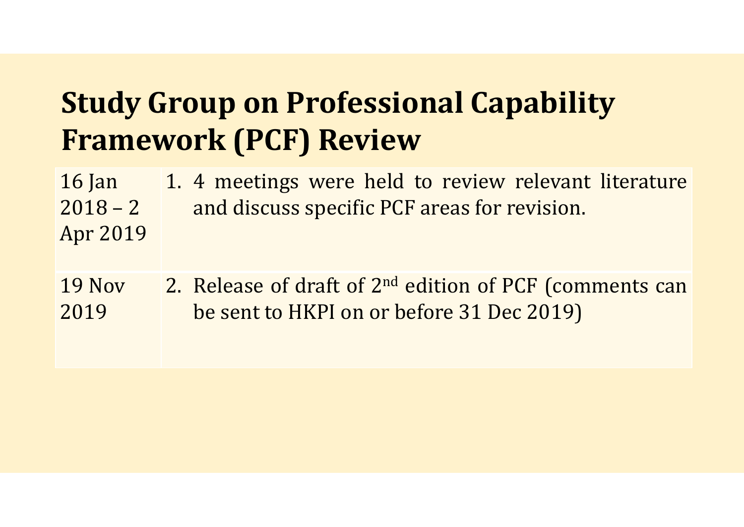## **Study Group on Professional Capability Framework (PCF) Review**

| $16$ Jan              | 1. 4 meetings were held to review relevant literature                                                     |
|-----------------------|-----------------------------------------------------------------------------------------------------------|
| $2018 - 2$            | and discuss specific PCF areas for revision.                                                              |
| Apr 2019              |                                                                                                           |
| <b>19 Nov</b><br>2019 | 2. Release of draft of $2^{nd}$ edition of PCF (comments can<br>be sent to HKPI on or before 31 Dec 2019) |